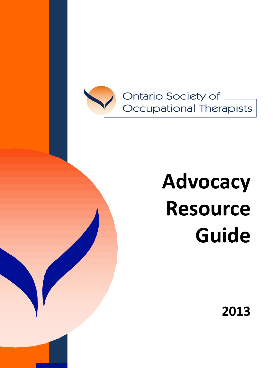

# **Advocacy Resource Guide**

**2013**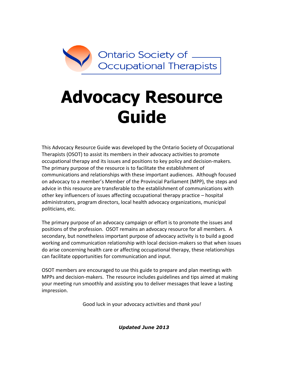

# **Advocacy Resource Guide**

This Advocacy Resource Guide was developed by the Ontario Society of Occupational Therapists (OSOT) to assist its members in their advocacy activities to promote occupational therapy and its issues and positions to key policy and decision-makers. The primary purpose of the resource is to facilitate the establishment of communications and relationships with these important audiences. Although focused on advocacy to a member's Member of the Provincial Parliament (MPP), the steps and advice in this resource are transferable to the establishment of communications with other key influencers of issues affecting occupational therapy practice – hospital administrators, program directors, local health advocacy organizations, municipal politicians, etc.

The primary purpose of an advocacy campaign or effort is to promote the issues and positions of the profession. OSOT remains an advocacy resource for all members. A secondary, but nonetheless important purpose of advocacy activity is to build a good working and communication relationship with local decision-makers so that when issues do arise concerning health care or affecting occupational therapy, these relationships can facilitate opportunities for communication and input.

OSOT members are encouraged to use this guide to prepare and plan meetings with MPPs and decision-makers. The resource includes guidelines and tips aimed at making your meeting run smoothly and assisting you to deliver messages that leave a lasting impression.

Good luck in your advocacy activities and *thank you!*

*Updated June 2013*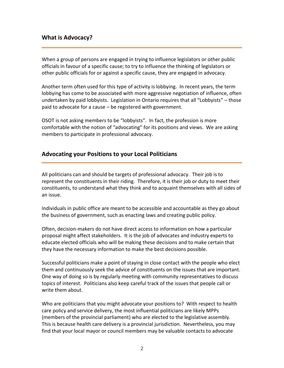# **What is Advocacy?**

When a group of persons are engaged in trying to influence legislators or other public officials in favour of a specific cause; to try to influence the thinking of legislators or other public officials for or against a specific cause, they are engaged in advocacy.

Another term often used for this type of activity is lobbying. In recent years, the term lobbying has come to be associated with more aggressive negotiation of influence, often undertaken by paid lobbyists. Legislation in Ontario requires that all "Lobbyists" – those paid to advocate for a cause – be registered with government.

OSOT is not asking members to be "lobbyists". In fact, the profession is more comfortable with the notion of "advocating" for its positions and views. We are asking members to participate in professional advocacy.

#### **Advocating your Positions to your Local Politicians**

All politicians can and should be targets of professional advocacy. Their job is to represent the constituents in their riding. Therefore, it is their job or duty to meet their constituents, to understand what they think and to acquaint themselves with all sides of an issue.

Individuals in public office are meant to be accessible and accountable as they go about the business of government, such as enacting laws and creating public policy.

Often, decision-makers do not have direct access to information on how a particular proposal might affect stakeholders. It is the job of advocates and industry experts to educate elected officials who will be making these decisions and to make certain that they have the necessary information to make the best decisions possible.

Successful politicians make a point of staying in close contact with the people who elect them and continuously seek the advice of constituents on the issues that are important. One way of doing so is by regularly meeting with community representatives to discuss topics of interest. Politicians also keep careful track of the issues that people call or write them about.

Who are politicians that you might advocate your positions to? With respect to health care policy and service delivery, the most influential politicians are likely MPPs (members of the provincial parliament) who are elected to the legislative assembly. This is because health care delivery is a provincial jurisdiction. Nevertheless, you may find that your local mayor or council members may be valuable contacts to advocate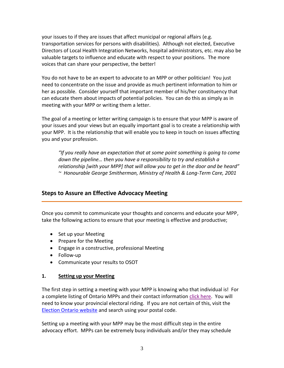your issues to if they are issues that affect municipal or regional affairs (e.g. transportation services for persons with disabilities). Although not elected, Executive Directors of Local Health Integration Networks, hospital administrators, etc. may also be valuable targets to influence and educate with respect to your positions. The more voices that can share your perspective, the better!

You do not have to be an expert to advocate to an MPP or other politician! You just need to concentrate on the issue and provide as much pertinent information to him or her as possible. Consider yourself that important member of his/her constituency that can educate them about impacts of potential policies. You can do this as simply as in meeting with your MPP or writing them a letter.

The goal of a meeting or letter writing campaign is to ensure that your MPP is aware of your issues and your views but an equally important goal is to create a relationship with your MPP. It is the relationship that will enable you to keep in touch on issues affecting you and your profession.

*"If you really have an expectation that at some point something is going to come down the pipeline… then you have a responsibility to try and establish a relationship [with your MPP] that will allow you to get in the door and be heard" ~ Honourable George Smitherman, Ministry of Health & Long-Term Care, 2001*

# **Steps to Assure an Effective Advocacy Meeting**

Once you commit to communicate your thoughts and concerns and educate your MPP, take the following actions to ensure that your meeting is effective and productive;

- Set up your Meeting
- Prepare for the Meeting
- Engage in a constructive, professional Meeting
- Follow-up
- Communicate your results to OSOT

#### **1. Setting up your Meeting**

The first step in setting a meeting with your MPP is knowing who that individual is! For a complete listing of Ontario MPPs and their contact information [click here.](http://www.ontla.on.ca/web/members/members_current.do?locale=en) You will need to know your provincial electoral riding. If you are not certain of this, visit the [Election Ontario website](http://fyed.elections.on.ca/fyed/en/form_page_en.jsp) and search using your postal code.

Setting up a meeting with your MPP may be the most difficult step in the entire advocacy effort. MPPs can be extremely busy individuals and/or they may schedule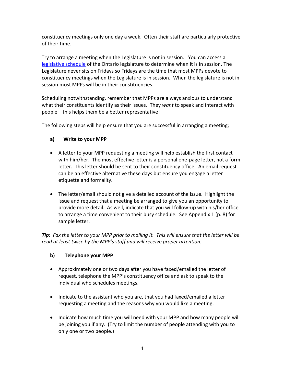constituency meetings only one day a week. Often their staff are particularly protective of their time.

Try to arrange a meeting when the Legislature is not in session. You can access a [legislative schedule](http://www.ontla.on.ca/web/home.do) of the Ontario legislature to determine when it is in session. The Legislature never sits on Fridays so Fridays are the time that most MPPs devote to constituency meetings when the Legislature is in session. When the legislature is not in session most MPPs will be in their constituencies.

Scheduling notwithstanding, remember that MPPs are always anxious to understand what their constituents identify as their issues. They *want* to speak and interact with people – this helps them be a better representative!

The following steps will help ensure that you are successful in arranging a meeting;

# **a) Write to your MPP**

- A letter to your MPP requesting a meeting will help establish the first contact with him/her. The most effective letter is a personal one-page letter, not a form letter. This letter should be sent to their constituency office. An email request can be an effective alternative these days but ensure you engage a letter etiquette and formality.
- The letter/email should not give a detailed account of the issue. Highlight the issue and request that a meeting be arranged to give you an opportunity to provide more detail. As well, indicate that you will follow-up with his/her office to arrange a time convenient to their busy schedule. See Appendix 1 (p. 8) for sample letter.

*Tip: Fax the letter to your MPP prior to mailing it. This will ensure that the letter will be read at least twice by the MPP's staff and will receive proper attention.*

#### **b) Telephone your MPP**

- Approximately one or two days after you have faxed/emailed the letter of request, telephone the MPP's constituency office and ask to speak to the individual who schedules meetings.
- Indicate to the assistant who you are, that you had faxed/emailed a letter requesting a meeting and the reasons why you would like a meeting.
- Indicate how much time you will need with your MPP and how many people will be joining you if any. (Try to limit the number of people attending with you to only one or two people.)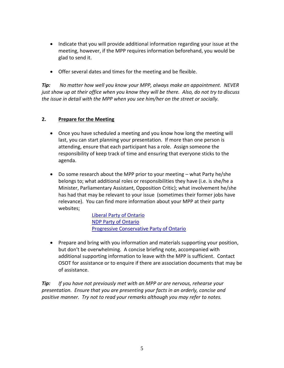- Indicate that you will provide additional information regarding your issue at the meeting, however, if the MPP requires information beforehand, you would be glad to send it.
- Offer several dates and times for the meeting and be flexible.

*Tip: No matter how well you know your MPP, always make an appointment. NEVER just show up at their office when you know they will be there. Also, do not try to discuss the issue in detail with the MPP when you see him/her on the street or socially.*

#### **2. Prepare for the Meeting**

- Once you have scheduled a meeting and you know how long the meeting will last, you can start planning your presentation. If more than one person is attending, ensure that each participant has a role. Assign someone the responsibility of keep track of time and ensuring that everyone sticks to the agenda.
- Do some research about the MPP prior to your meeting what Party he/she belongs to; what additional roles or responsibilities they have (i.e. is she/he a Minister, Parliamentary Assistant, Opposition Critic); what involvement he/she has had that may be relevant to your issue (sometimes their former jobs have relevance). You can find more information about your MPP at their party websites;

[Liberal Party of Ontario](http://www.ontarioliberal.com/) [NDP Party of Ontario](http://www.ontariondp.com/) [Progressive Conservative Party of Ontario](http://www.ontariopc.com/)

 Prepare and bring with you information and materials supporting your position, but don't be overwhelming. A concise briefing note, accompanied with additional supporting information to leave with the MPP is sufficient. Contact OSOT for assistance or to enquire if there are association documents that may be of assistance.

*Tip: If you have not previously met with an MPP or are nervous, rehearse your presentation. Ensure that you are presenting your facts in an orderly, concise and positive manner. Try not to read your remarks although you may refer to notes.*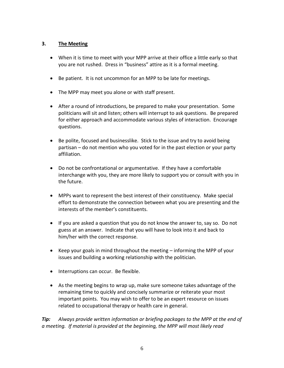#### **3. The Meeting**

- When it is time to meet with your MPP arrive at their office a little early so that you are not rushed. Dress in "business" attire as it is a formal meeting.
- Be patient. It is not uncommon for an MPP to be late for meetings.
- The MPP may meet you alone or with staff present.
- After a round of introductions, be prepared to make your presentation. Some politicians will sit and listen; others will interrupt to ask questions. Be prepared for either approach and accommodate various styles of interaction. Encourage questions.
- Be polite, focused and businesslike. Stick to the issue and try to avoid being partisan – do not mention who you voted for in the past election or your party affiliation.
- Do not be confrontational or argumentative. If they have a comfortable interchange with you, they are more likely to support you or consult with you in the future.
- MPPs want to represent the best interest of their constituency. Make special effort to demonstrate the connection between what you are presenting and the interests of the member's constituents.
- If you are asked a question that you do not know the answer to, say so. Do not guess at an answer. Indicate that you will have to look into it and back to him/her with the correct response.
- Keep your goals in mind throughout the meeting informing the MPP of your issues and building a working relationship with the politician.
- Interruptions can occur. Be flexible.
- As the meeting begins to wrap up, make sure someone takes advantage of the remaining time to quickly and concisely summarize or reiterate your most important points. You may wish to offer to be an expert resource on issues related to occupational therapy or health care in general.

*Tip: Always provide written information or briefing packages to the MPP at the end of a meeting. If material is provided at the beginning, the MPP will most likely read*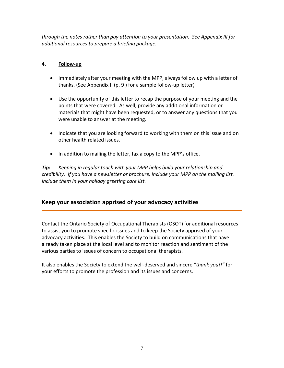*through the notes rather than pay attention to your presentation. See Appendix III for additional resources to prepare a briefing package.*

# **4. Follow-up**

- Immediately after your meeting with the MPP, always follow up with a letter of thanks. (See Appendix II (p. 9 ) for a sample follow-up letter)
- Use the opportunity of this letter to recap the purpose of your meeting and the points that were covered. As well, provide any additional information or materials that might have been requested, or to answer any questions that you were unable to answer at the meeting.
- Indicate that you are looking forward to working with them on this issue and on other health related issues.
- In addition to mailing the letter, fax a copy to the MPP's office.

*Tip: Keeping in regular touch with your MPP helps build your relationship and credibility. If you have a newsletter or brochure, include your MPP on the mailing list. Include them in your holiday greeting care list.*

# **Keep your association apprised of your advocacy activities**

Contact the Ontario Society of Occupational Therapists (OSOT) for additional resources to assist you to promote specific issues and to keep the Society apprised of your advocacy activities. This enables the Society to build on communications that have already taken place at the local level and to monitor reaction and sentiment of the various parties to issues of concern to occupational therapists.

It also enables the Society to extend the well-deserved and sincere "*thank you!!"* for your efforts to promote the profession and its issues and concerns.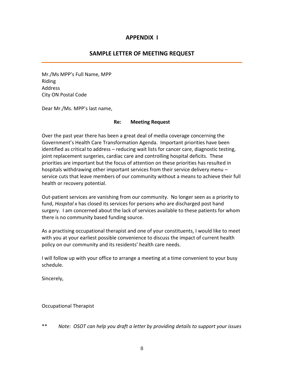# **APPENDIX I**

# **SAMPLE LETTER OF MEETING REQUEST**

Mr./Ms MPP's Full Name, MPP Riding Address City ON Postal Code

Dear Mr./Ms. MPP's last name,

#### **Re: Meeting Request**

Over the past year there has been a great deal of media coverage concerning the Government's Health Care Transformation Agenda. Important priorities have been identified as critical to address – reducing wait lists for cancer care, diagnostic testing, joint replacement surgeries, cardiac care and controlling hospital deficits. These priorities are important but the focus of attention on these priorities has resulted in hospitals withdrawing other important services from their service delivery menu – service cuts that leave members of our community without a means to achieve their full health or recovery potential.

Out-patient services are vanishing from our community. No longer seen as a priority to fund, *Hospital x* has closed its services for persons who are discharged post hand surgery. I am concerned about the lack of services available to these patients for whom there is no community based funding source.

As a practising occupational therapist and one of your constituents, I would like to meet with you at your earliest possible convenience to discuss the impact of current health policy on our community and its residents' health care needs.

I will follow up with your office to arrange a meeting at a time convenient to your busy schedule.

Sincerely,

Occupational Therapist

\*\* *Note: OSOT can help you draft a letter by providing details to support your issues*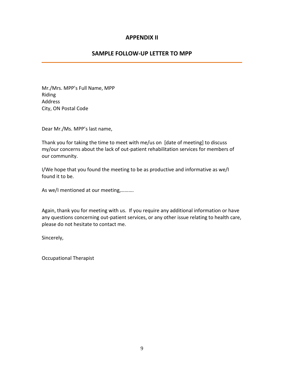# **APPENDIX II**

# **SAMPLE FOLLOW-UP LETTER TO MPP**

Mr./Mrs. MPP's Full Name, MPP Riding Address City, ON Postal Code

Dear Mr./Ms. MPP's last name,

Thank you for taking the time to meet with me/us on [date of meeting] to discuss my/our concerns about the lack of out-patient rehabilitation services for members of our community.

I/We hope that you found the meeting to be as productive and informative as we/I found it to be.

As we/I mentioned at our meeting,……….

Again, thank you for meeting with us. If you require any additional information or have any questions concerning out-patient services, or any other issue relating to health care, please do not hesitate to contact me.

Sincerely,

Occupational Therapist